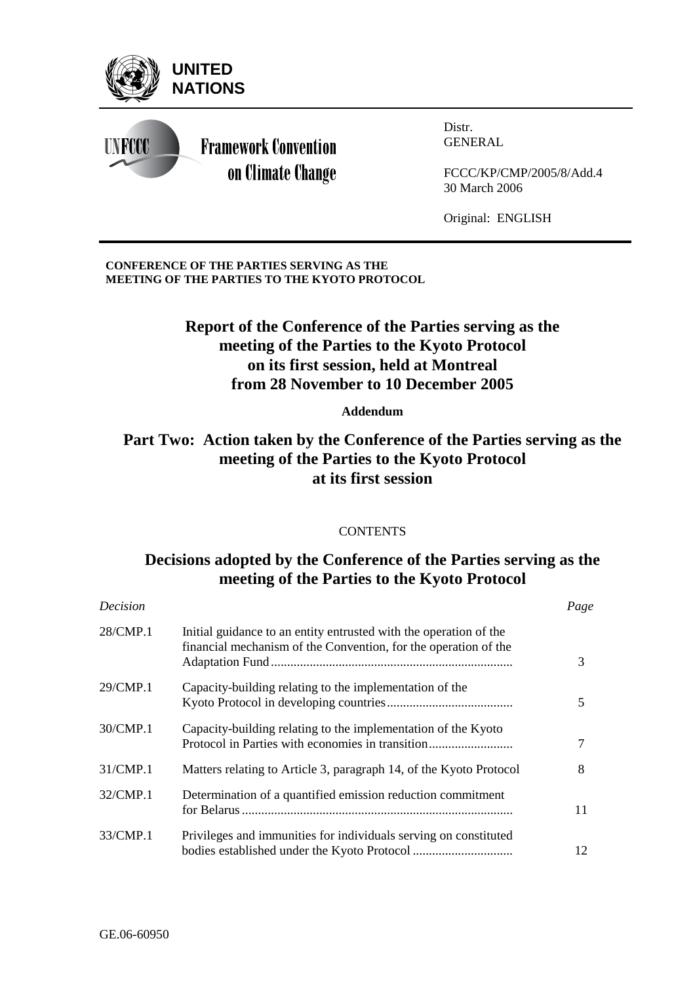

### **CONFERENCE OF THE PARTIES SERVING AS THE MEETING OF THE PARTIES TO THE KYOTO PROTOCOL**

# **Report of the Conference of the Parties serving as the meeting of the Parties to the Kyoto Protocol on its first session, held at Montreal from 28 November to 10 December 2005**

## **Addendum**

# **Part Two: Action taken by the Conference of the Parties serving as the meeting of the Parties to the Kyoto Protocol at its first session**

### **CONTENTS**

# **Decisions adopted by the Conference of the Parties serving as the meeting of the Parties to the Kyoto Protocol**

| <b>Decision</b> |                                                                                                                                      | Page |
|-----------------|--------------------------------------------------------------------------------------------------------------------------------------|------|
| 28/CMP.1        | Initial guidance to an entity entrusted with the operation of the<br>financial mechanism of the Convention, for the operation of the | 3    |
| 29/CMP.1        | Capacity-building relating to the implementation of the                                                                              | 5    |
| 30/CMP.1        | Capacity-building relating to the implementation of the Kyoto<br>Protocol in Parties with economies in transition                    | 7    |
| 31/CMP.1        | Matters relating to Article 3, paragraph 14, of the Kyoto Protocol                                                                   | 8    |
| 32/CMP.1        | Determination of a quantified emission reduction commitment                                                                          | 11   |
| 33/CMP.1        | Privileges and immunities for individuals serving on constituted                                                                     | 12   |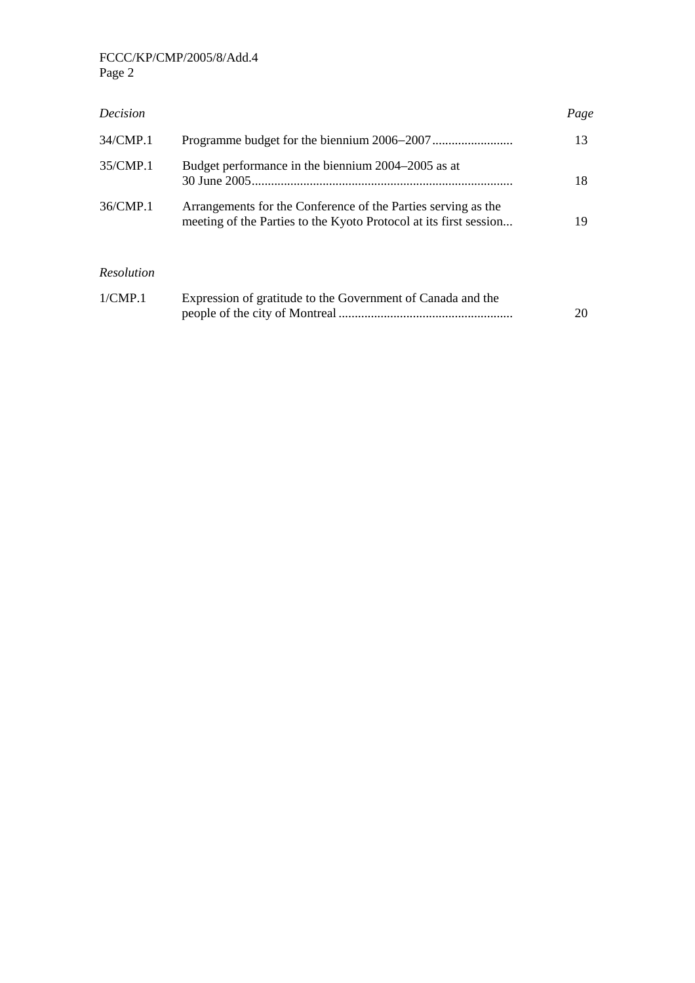| <b>Decision</b>   |                                                                                                                                    | Page |
|-------------------|------------------------------------------------------------------------------------------------------------------------------------|------|
| 34/CMP.1          |                                                                                                                                    | 13   |
| 35/CMP.1          | Budget performance in the biennium 2004–2005 as at                                                                                 | 18   |
| 36/CMP.1          | Arrangements for the Conference of the Parties serving as the<br>meeting of the Parties to the Kyoto Protocol at its first session | 19   |
| <b>Resolution</b> |                                                                                                                                    |      |
| 1/CMP.1           | Expression of gratitude to the Government of Canada and the                                                                        | 20   |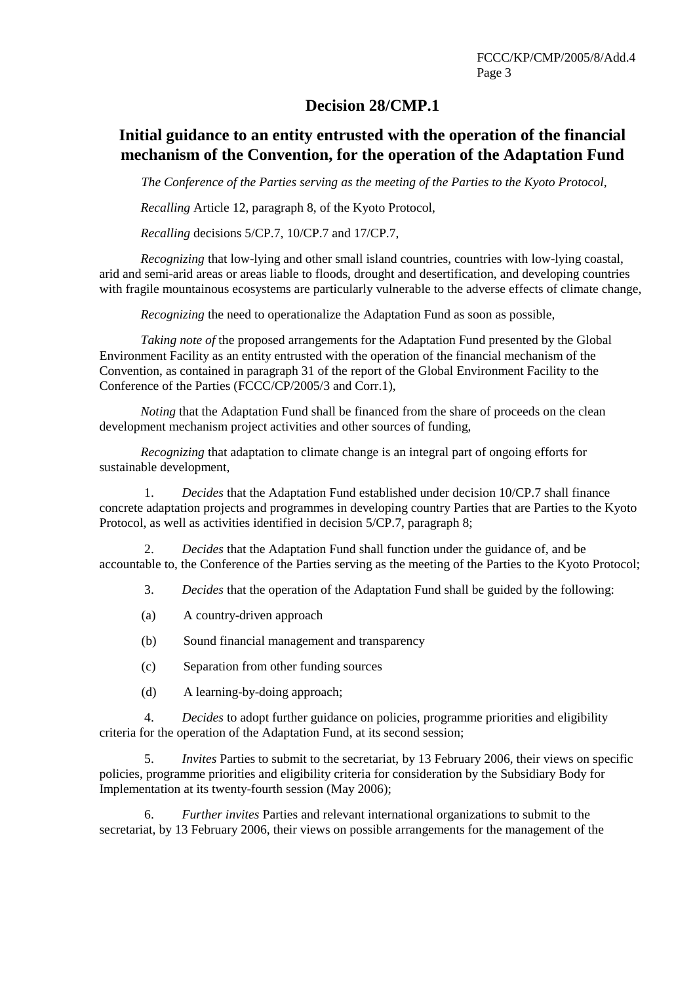## **Decision 28/CMP.1**

# **Initial guidance to an entity entrusted with the operation of the financial mechanism of the Convention, for the operation of the Adaptation Fund**

*The Conference of the Parties serving as the meeting of the Parties to the Kyoto Protocol,* 

 *Recalling* Article 12, paragraph 8, of the Kyoto Protocol,

*Recalling* decisions 5/CP.7, 10/CP.7 and 17/CP.7,

*Recognizing* that low-lying and other small island countries, countries with low-lying coastal, arid and semi-arid areas or areas liable to floods, drought and desertification, and developing countries with fragile mountainous ecosystems are particularly vulnerable to the adverse effects of climate change,

*Recognizing* the need to operationalize the Adaptation Fund as soon as possible,

*Taking note of* the proposed arrangements for the Adaptation Fund presented by the Global Environment Facility as an entity entrusted with the operation of the financial mechanism of the Convention, as contained in paragraph 31 of the report of the Global Environment Facility to the Conference of the Parties (FCCC/CP/2005/3 and Corr.1),

*Noting* that the Adaptation Fund shall be financed from the share of proceeds on the clean development mechanism project activities and other sources of funding,

*Recognizing* that adaptation to climate change is an integral part of ongoing efforts for sustainable development,

1. *Decides* that the Adaptation Fund established under decision 10/CP.7 shall finance concrete adaptation projects and programmes in developing country Parties that are Parties to the Kyoto Protocol, as well as activities identified in decision 5/CP.7, paragraph 8;

2. *Decides* that the Adaptation Fund shall function under the guidance of, and be accountable to, the Conference of the Parties serving as the meeting of the Parties to the Kyoto Protocol;

3. *Decides* that the operation of the Adaptation Fund shall be guided by the following:

(a) A country-driven approach

(b) Sound financial management and transparency

- (c) Separation from other funding sources
- (d) A learning-by-doing approach;

4. *Decides* to adopt further guidance on policies, programme priorities and eligibility criteria for the operation of the Adaptation Fund, at its second session;

5. *Invites* Parties to submit to the secretariat, by 13 February 2006, their views on specific policies, programme priorities and eligibility criteria for consideration by the Subsidiary Body for Implementation at its twenty-fourth session (May 2006);

6. *Further invites* Parties and relevant international organizations to submit to the secretariat, by 13 February 2006, their views on possible arrangements for the management of the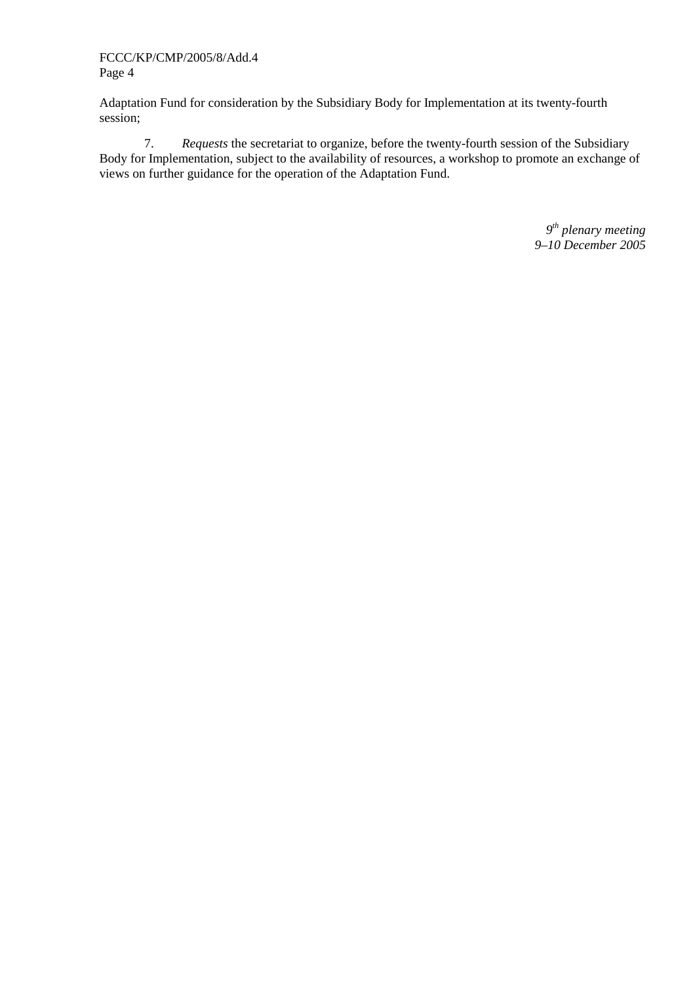Adaptation Fund for consideration by the Subsidiary Body for Implementation at its twenty-fourth session;

7. *Requests* the secretariat to organize, before the twenty-fourth session of the Subsidiary Body for Implementation, subject to the availability of resources, a workshop to promote an exchange of views on further guidance for the operation of the Adaptation Fund.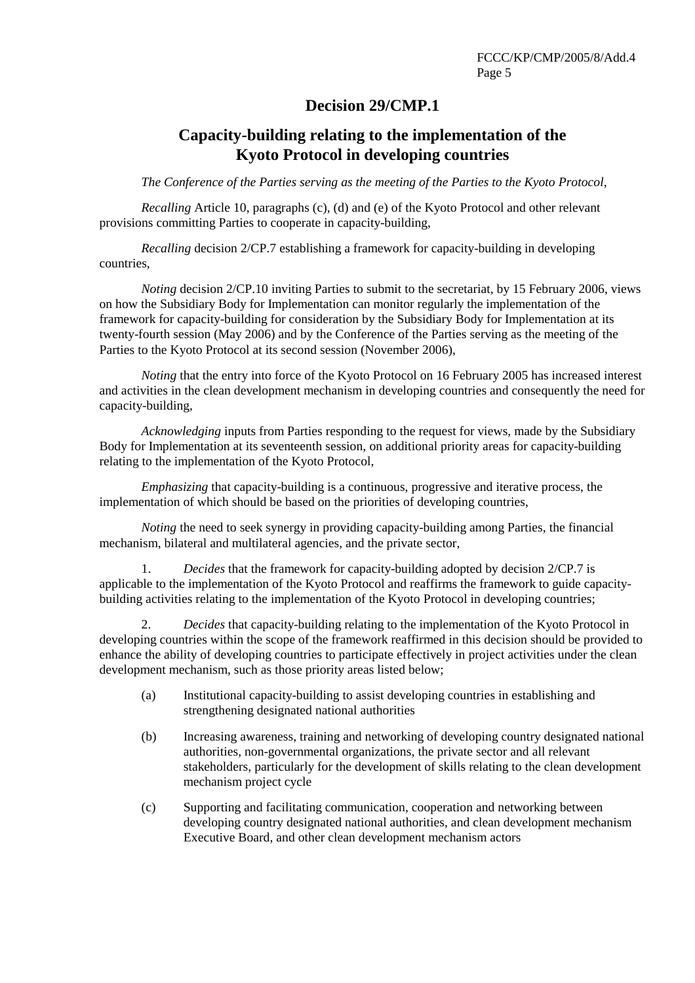# **Decision 29/CMP.1**

# **Capacity-building relating to the implementation of the Kyoto Protocol in developing countries**

*The Conference of the Parties serving as the meeting of the Parties to the Kyoto Protocol*,

*Recalling* Article 10, paragraphs (c), (d) and (e) of the Kyoto Protocol and other relevant provisions committing Parties to cooperate in capacity-building,

*Recalling* decision 2/CP.7 establishing a framework for capacity-building in developing countries,

*Noting* decision 2/CP.10 inviting Parties to submit to the secretariat, by 15 February 2006, views on how the Subsidiary Body for Implementation can monitor regularly the implementation of the framework for capacity-building for consideration by the Subsidiary Body for Implementation at its twenty-fourth session (May 2006) and by the Conference of the Parties serving as the meeting of the Parties to the Kyoto Protocol at its second session (November 2006),

*Noting* that the entry into force of the Kyoto Protocol on 16 February 2005 has increased interest and activities in the clean development mechanism in developing countries and consequently the need for capacity-building,

*Acknowledging* inputs from Parties responding to the request for views, made by the Subsidiary Body for Implementation at its seventeenth session, on additional priority areas for capacity-building relating to the implementation of the Kyoto Protocol,

*Emphasizing* that capacity-building is a continuous, progressive and iterative process, the implementation of which should be based on the priorities of developing countries,

*Noting* the need to seek synergy in providing capacity-building among Parties, the financial mechanism, bilateral and multilateral agencies, and the private sector,

1. *Decides* that the framework for capacity-building adopted by decision 2/CP.7 is applicable to the implementation of the Kyoto Protocol and reaffirms the framework to guide capacitybuilding activities relating to the implementation of the Kyoto Protocol in developing countries;

2. *Decides* that capacity-building relating to the implementation of the Kyoto Protocol in developing countries within the scope of the framework reaffirmed in this decision should be provided to enhance the ability of developing countries to participate effectively in project activities under the clean development mechanism, such as those priority areas listed below;

- (a) Institutional capacity-building to assist developing countries in establishing and strengthening designated national authorities
- (b) Increasing awareness, training and networking of developing country designated national authorities, non-governmental organizations, the private sector and all relevant stakeholders, particularly for the development of skills relating to the clean development mechanism project cycle
- (c) Supporting and facilitating communication, cooperation and networking between developing country designated national authorities, and clean development mechanism Executive Board, and other clean development mechanism actors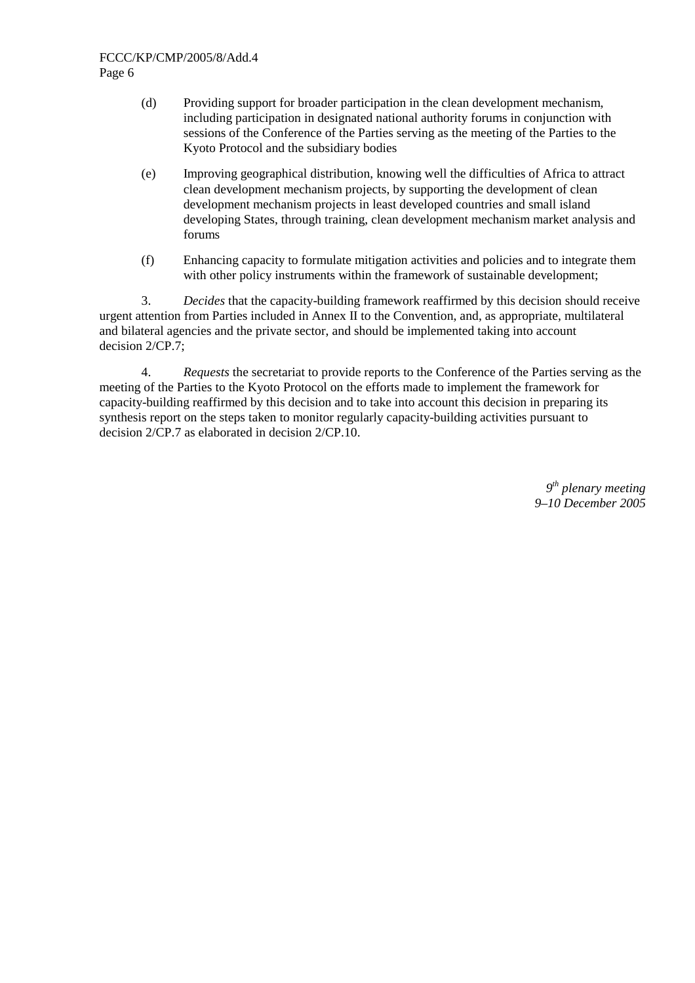- (d) Providing support for broader participation in the clean development mechanism, including participation in designated national authority forums in conjunction with sessions of the Conference of the Parties serving as the meeting of the Parties to the Kyoto Protocol and the subsidiary bodies
- (e) Improving geographical distribution, knowing well the difficulties of Africa to attract clean development mechanism projects, by supporting the development of clean development mechanism projects in least developed countries and small island developing States, through training, clean development mechanism market analysis and forums
- (f) Enhancing capacity to formulate mitigation activities and policies and to integrate them with other policy instruments within the framework of sustainable development:

3. *Decides* that the capacity-building framework reaffirmed by this decision should receive urgent attention from Parties included in Annex II to the Convention, and, as appropriate, multilateral and bilateral agencies and the private sector, and should be implemented taking into account decision 2/CP.7;

4. *Requests* the secretariat to provide reports to the Conference of the Parties serving as the meeting of the Parties to the Kyoto Protocol on the efforts made to implement the framework for capacity-building reaffirmed by this decision and to take into account this decision in preparing its synthesis report on the steps taken to monitor regularly capacity-building activities pursuant to decision 2/CP.7 as elaborated in decision 2/CP.10.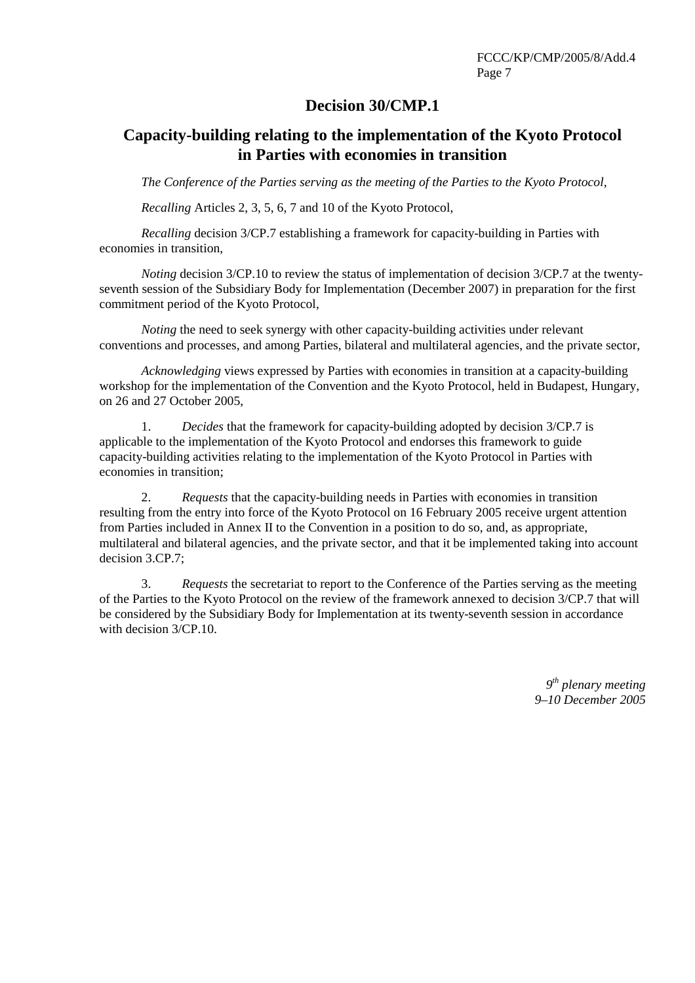## **Decision 30/CMP.1**

# **Capacity-building relating to the implementation of the Kyoto Protocol in Parties with economies in transition**

*The Conference of the Parties serving as the meeting of the Parties to the Kyoto Protocol,* 

*Recalling* Articles 2, 3, 5, 6, 7 and 10 of the Kyoto Protocol,

*Recalling* decision 3/CP.7 establishing a framework for capacity-building in Parties with economies in transition,

*Noting* decision 3/CP.10 to review the status of implementation of decision 3/CP.7 at the twentyseventh session of the Subsidiary Body for Implementation (December 2007) in preparation for the first commitment period of the Kyoto Protocol,

*Noting* the need to seek synergy with other capacity-building activities under relevant conventions and processes, and among Parties, bilateral and multilateral agencies, and the private sector,

*Acknowledging* views expressed by Parties with economies in transition at a capacity-building workshop for the implementation of the Convention and the Kyoto Protocol, held in Budapest, Hungary, on 26 and 27 October 2005,

1. *Decides* that the framework for capacity-building adopted by decision 3/CP.7 is applicable to the implementation of the Kyoto Protocol and endorses this framework to guide capacity-building activities relating to the implementation of the Kyoto Protocol in Parties with economies in transition;

2. *Requests* that the capacity-building needs in Parties with economies in transition resulting from the entry into force of the Kyoto Protocol on 16 February 2005 receive urgent attention from Parties included in Annex II to the Convention in a position to do so, and, as appropriate, multilateral and bilateral agencies, and the private sector, and that it be implemented taking into account decision 3.CP.7;

3. *Requests* the secretariat to report to the Conference of the Parties serving as the meeting of the Parties to the Kyoto Protocol on the review of the framework annexed to decision 3/CP.7 that will be considered by the Subsidiary Body for Implementation at its twenty-seventh session in accordance with decision 3/CP.10.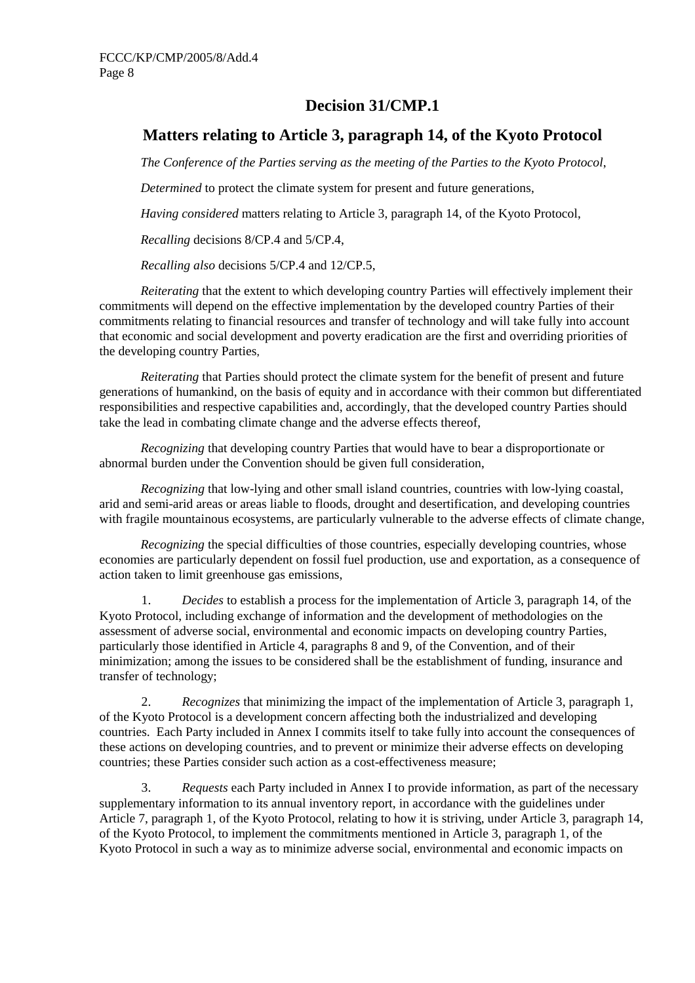# **Decision 31/CMP.1**

# **Matters relating to Article 3, paragraph 14, of the Kyoto Protocol**

*The Conference of the Parties serving as the meeting of the Parties to the Kyoto Protocol*,

*Determined* to protect the climate system for present and future generations,

*Having considered* matters relating to Article 3, paragraph 14, of the Kyoto Protocol,

*Recalling* decisions 8/CP.4 and 5/CP.4,

*Recalling also* decisions 5/CP.4 and 12/CP.5,

*Reiterating* that the extent to which developing country Parties will effectively implement their commitments will depend on the effective implementation by the developed country Parties of their commitments relating to financial resources and transfer of technology and will take fully into account that economic and social development and poverty eradication are the first and overriding priorities of the developing country Parties,

*Reiterating* that Parties should protect the climate system for the benefit of present and future generations of humankind, on the basis of equity and in accordance with their common but differentiated responsibilities and respective capabilities and, accordingly, that the developed country Parties should take the lead in combating climate change and the adverse effects thereof,

*Recognizing* that developing country Parties that would have to bear a disproportionate or abnormal burden under the Convention should be given full consideration,

*Recognizing* that low-lying and other small island countries, countries with low-lying coastal, arid and semi-arid areas or areas liable to floods, drought and desertification, and developing countries with fragile mountainous ecosystems, are particularly vulnerable to the adverse effects of climate change,

*Recognizing* the special difficulties of those countries, especially developing countries, whose economies are particularly dependent on fossil fuel production, use and exportation, as a consequence of action taken to limit greenhouse gas emissions,

1. *Decides* to establish a process for the implementation of Article 3, paragraph 14, of the Kyoto Protocol, including exchange of information and the development of methodologies on the assessment of adverse social, environmental and economic impacts on developing country Parties, particularly those identified in Article 4, paragraphs 8 and 9, of the Convention, and of their minimization; among the issues to be considered shall be the establishment of funding, insurance and transfer of technology;

2. *Recognizes* that minimizing the impact of the implementation of Article 3, paragraph 1, of the Kyoto Protocol is a development concern affecting both the industrialized and developing countries. Each Party included in Annex I commits itself to take fully into account the consequences of these actions on developing countries, and to prevent or minimize their adverse effects on developing countries; these Parties consider such action as a cost-effectiveness measure;

3. *Requests* each Party included in Annex I to provide information, as part of the necessary supplementary information to its annual inventory report, in accordance with the guidelines under Article 7, paragraph 1, of the Kyoto Protocol, relating to how it is striving, under Article 3, paragraph 14, of the Kyoto Protocol, to implement the commitments mentioned in Article 3, paragraph 1, of the Kyoto Protocol in such a way as to minimize adverse social, environmental and economic impacts on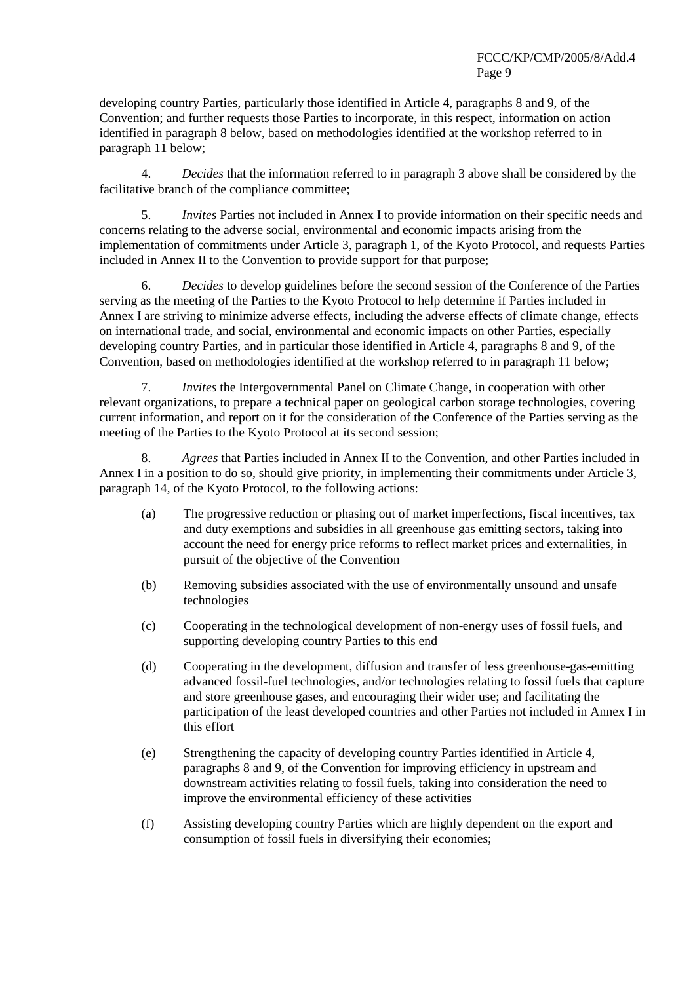developing country Parties, particularly those identified in Article 4, paragraphs 8 and 9, of the Convention; and further requests those Parties to incorporate, in this respect, information on action identified in paragraph 8 below, based on methodologies identified at the workshop referred to in paragraph 11 below;

4. *Decides* that the information referred to in paragraph 3 above shall be considered by the facilitative branch of the compliance committee;

5. *Invites* Parties not included in Annex I to provide information on their specific needs and concerns relating to the adverse social, environmental and economic impacts arising from the implementation of commitments under Article 3, paragraph 1, of the Kyoto Protocol, and requests Parties included in Annex II to the Convention to provide support for that purpose;

6. *Decides* to develop guidelines before the second session of the Conference of the Parties serving as the meeting of the Parties to the Kyoto Protocol to help determine if Parties included in Annex I are striving to minimize adverse effects, including the adverse effects of climate change, effects on international trade, and social, environmental and economic impacts on other Parties, especially developing country Parties, and in particular those identified in Article 4, paragraphs 8 and 9, of the Convention, based on methodologies identified at the workshop referred to in paragraph 11 below;

7. *Invites* the Intergovernmental Panel on Climate Change, in cooperation with other relevant organizations, to prepare a technical paper on geological carbon storage technologies, covering current information, and report on it for the consideration of the Conference of the Parties serving as the meeting of the Parties to the Kyoto Protocol at its second session;

8. *Agrees* that Parties included in Annex II to the Convention, and other Parties included in Annex I in a position to do so, should give priority, in implementing their commitments under Article 3, paragraph 14, of the Kyoto Protocol, to the following actions:

- (a) The progressive reduction or phasing out of market imperfections, fiscal incentives, tax and duty exemptions and subsidies in all greenhouse gas emitting sectors, taking into account the need for energy price reforms to reflect market prices and externalities, in pursuit of the objective of the Convention
- (b) Removing subsidies associated with the use of environmentally unsound and unsafe technologies
- (c) Cooperating in the technological development of non-energy uses of fossil fuels, and supporting developing country Parties to this end
- (d) Cooperating in the development, diffusion and transfer of less greenhouse-gas-emitting advanced fossil-fuel technologies, and/or technologies relating to fossil fuels that capture and store greenhouse gases, and encouraging their wider use; and facilitating the participation of the least developed countries and other Parties not included in Annex I in this effort
- (e) Strengthening the capacity of developing country Parties identified in Article 4, paragraphs 8 and 9, of the Convention for improving efficiency in upstream and downstream activities relating to fossil fuels, taking into consideration the need to improve the environmental efficiency of these activities
- (f) Assisting developing country Parties which are highly dependent on the export and consumption of fossil fuels in diversifying their economies;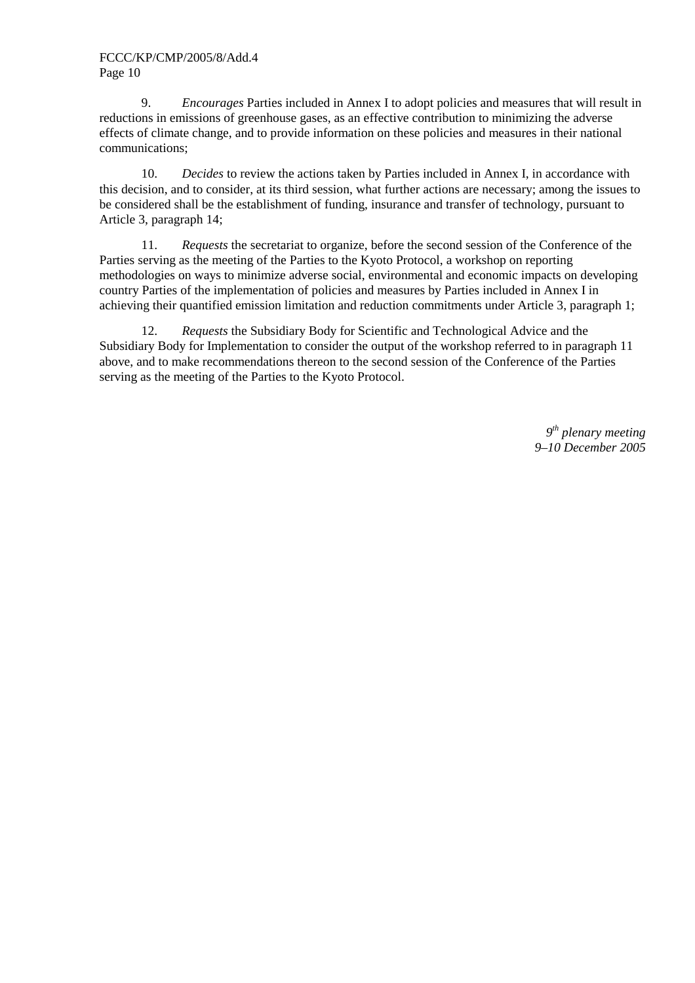9. *Encourages* Parties included in Annex I to adopt policies and measures that will result in reductions in emissions of greenhouse gases, as an effective contribution to minimizing the adverse effects of climate change, and to provide information on these policies and measures in their national communications;

10. *Decides* to review the actions taken by Parties included in Annex I, in accordance with this decision, and to consider, at its third session, what further actions are necessary; among the issues to be considered shall be the establishment of funding, insurance and transfer of technology, pursuant to Article 3, paragraph 14;

11. *Requests* the secretariat to organize, before the second session of the Conference of the Parties serving as the meeting of the Parties to the Kyoto Protocol, a workshop on reporting methodologies on ways to minimize adverse social, environmental and economic impacts on developing country Parties of the implementation of policies and measures by Parties included in Annex I in achieving their quantified emission limitation and reduction commitments under Article 3, paragraph 1;

12. *Requests* the Subsidiary Body for Scientific and Technological Advice and the Subsidiary Body for Implementation to consider the output of the workshop referred to in paragraph 11 above, and to make recommendations thereon to the second session of the Conference of the Parties serving as the meeting of the Parties to the Kyoto Protocol.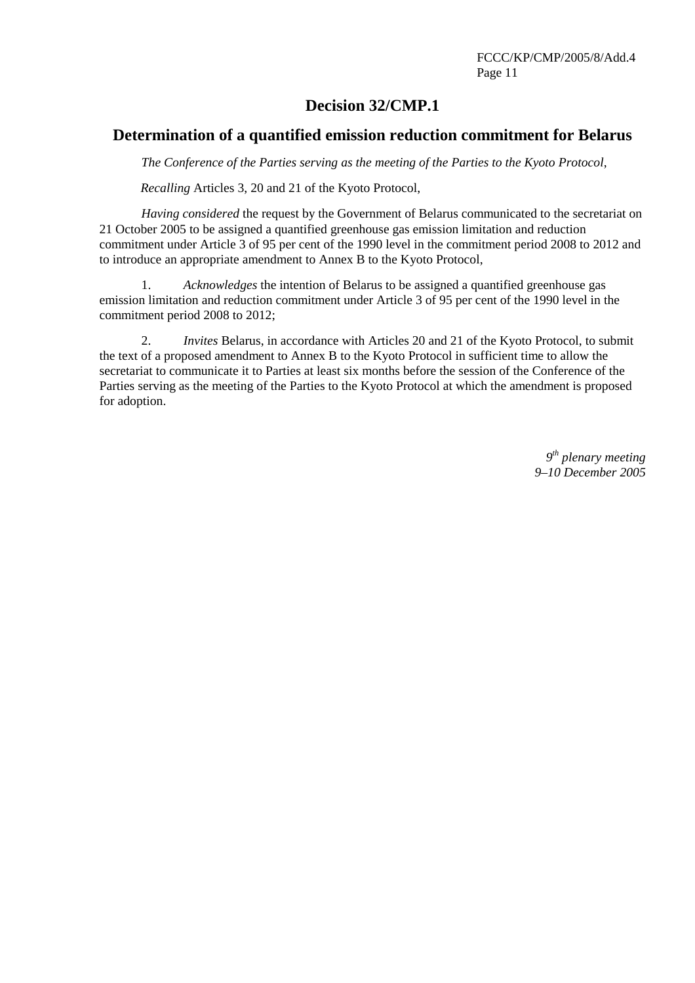## **Decision 32/CMP.1**

## **Determination of a quantified emission reduction commitment for Belarus**

*The Conference of the Parties serving as the meeting of the Parties to the Kyoto Protocol*,

*Recalling* Articles 3, 20 and 21 of the Kyoto Protocol,

 *Having considered* the request by the Government of Belarus communicated to the secretariat on 21 October 2005 to be assigned a quantified greenhouse gas emission limitation and reduction commitment under Article 3 of 95 per cent of the 1990 level in the commitment period 2008 to 2012 and to introduce an appropriate amendment to Annex B to the Kyoto Protocol,

1. *Acknowledges* the intention of Belarus to be assigned a quantified greenhouse gas emission limitation and reduction commitment under Article 3 of 95 per cent of the 1990 level in the commitment period 2008 to 2012;

2. *Invites* Belarus, in accordance with Articles 20 and 21 of the Kyoto Protocol, to submit the text of a proposed amendment to Annex B to the Kyoto Protocol in sufficient time to allow the secretariat to communicate it to Parties at least six months before the session of the Conference of the Parties serving as the meeting of the Parties to the Kyoto Protocol at which the amendment is proposed for adoption.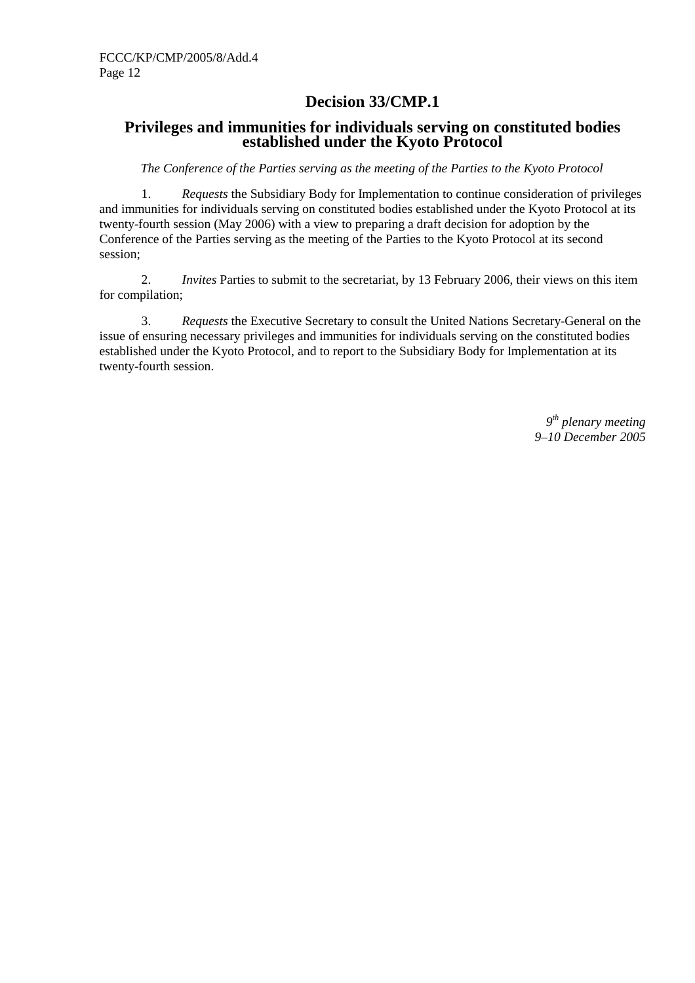## **Decision 33/CMP.1**

## **Privileges and immunities for individuals serving on constituted bodies established under the Kyoto Protocol**

*The Conference of the Parties serving as the meeting of the Parties to the Kyoto Protocol* 

1. *Requests* the Subsidiary Body for Implementation to continue consideration of privileges and immunities for individuals serving on constituted bodies established under the Kyoto Protocol at its twenty-fourth session (May 2006) with a view to preparing a draft decision for adoption by the Conference of the Parties serving as the meeting of the Parties to the Kyoto Protocol at its second session;

2. *Invites* Parties to submit to the secretariat, by 13 February 2006, their views on this item for compilation;

3. *Requests* the Executive Secretary to consult the United Nations Secretary-General on the issue of ensuring necessary privileges and immunities for individuals serving on the constituted bodies established under the Kyoto Protocol, and to report to the Subsidiary Body for Implementation at its twenty-fourth session.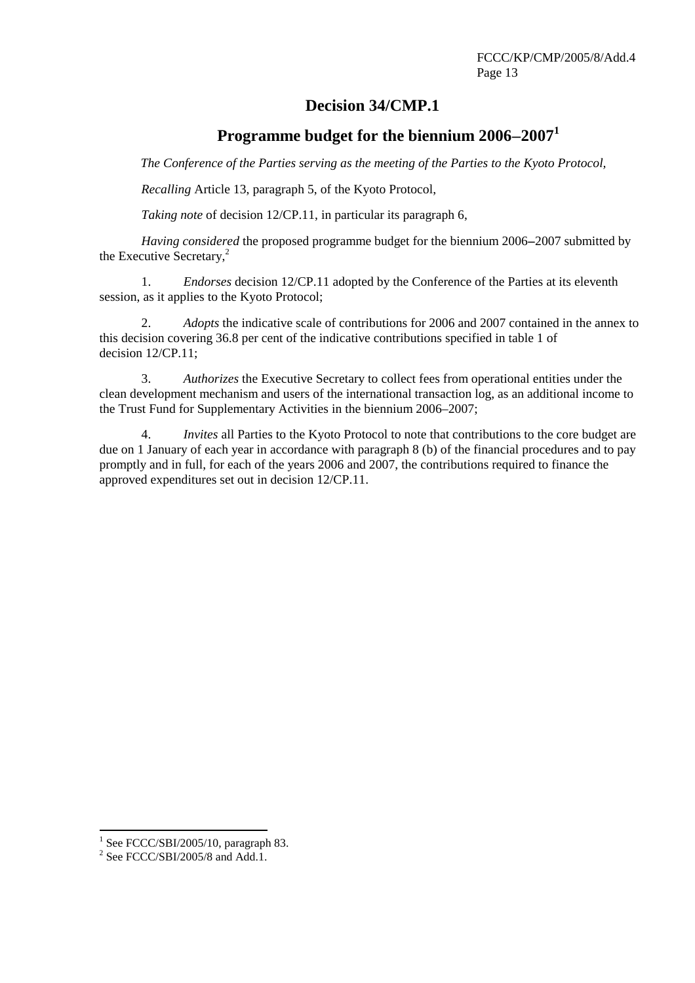## **Decision 34/CMP.1**

# **Programme budget for the biennium 2006**−**2007<sup>1</sup>**

*The Conference of the Parties serving as the meeting of the Parties to the Kyoto Protocol,* 

*Recalling* Article 13, paragraph 5, of the Kyoto Protocol,

*Taking note* of decision 12/CP.11, in particular its paragraph 6,

*Having considered* the proposed programme budget for the biennium 2006–2007 submitted by the Executive Secretary, $^{2}$ 

1. *Endorses* decision 12/CP.11 adopted by the Conference of the Parties at its eleventh session, as it applies to the Kyoto Protocol;

2. *Adopts* the indicative scale of contributions for 2006 and 2007 contained in the annex to this decision covering 36.8 per cent of the indicative contributions specified in table 1 of decision 12/CP.11;

3. *Authorizes* the Executive Secretary to collect fees from operational entities under the clean development mechanism and users of the international transaction log, as an additional income to the Trust Fund for Supplementary Activities in the biennium 2006–2007;

4. *Invites* all Parties to the Kyoto Protocol to note that contributions to the core budget are due on 1 January of each year in accordance with paragraph 8 (b) of the financial procedures and to pay promptly and in full, for each of the years 2006 and 2007, the contributions required to finance the approved expenditures set out in decision 12/CP.11.

 $\frac{1}{2}$  See FCCC/SBI/2005/10, paragraph 83.

 $2$  See FCCC/SBI/2005/8 and Add.1.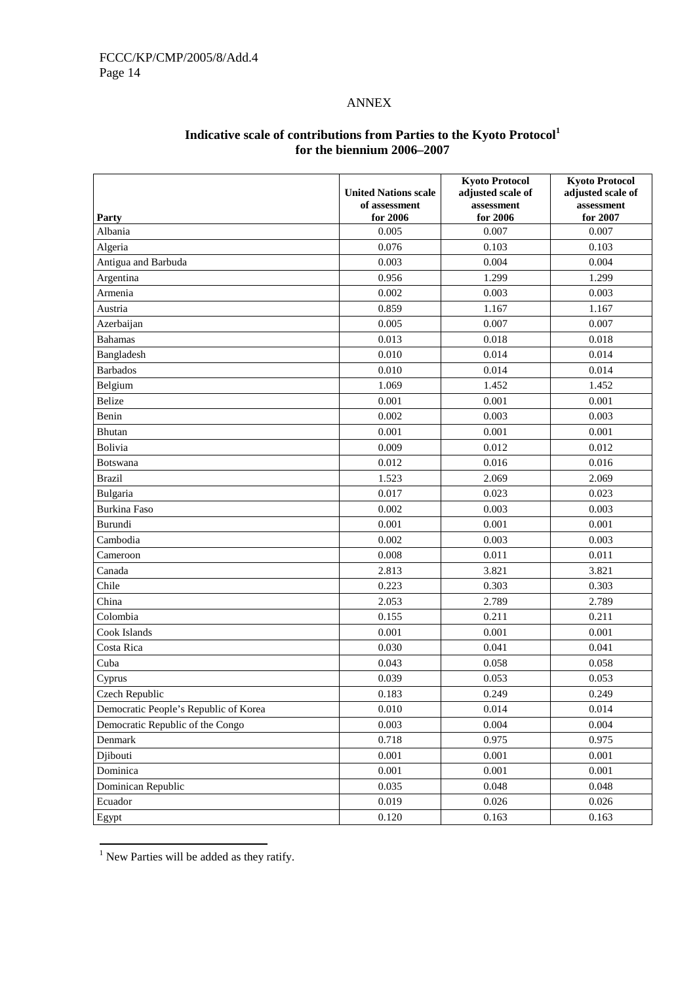### ANNEX

| Party                                 | <b>United Nations scale</b><br>of assessment<br>for 2006 | <b>Kyoto Protocol</b><br>adjusted scale of<br>assessment<br>for 2006 | <b>Kyoto Protocol</b><br>adjusted scale of<br>assessment<br>for 2007 |
|---------------------------------------|----------------------------------------------------------|----------------------------------------------------------------------|----------------------------------------------------------------------|
| Albania                               | 0.005                                                    | 0.007                                                                | 0.007                                                                |
| Algeria                               | 0.076                                                    | 0.103                                                                | 0.103                                                                |
| Antigua and Barbuda                   | 0.003                                                    | 0.004                                                                | 0.004                                                                |
| Argentina                             | 0.956                                                    | 1.299                                                                | 1.299                                                                |
| Armenia                               | 0.002                                                    | 0.003                                                                | 0.003                                                                |
| Austria                               | 0.859                                                    | 1.167                                                                | 1.167                                                                |
| Azerbaijan                            | 0.005                                                    | 0.007                                                                | 0.007                                                                |
| <b>Bahamas</b>                        | 0.013                                                    | 0.018                                                                | 0.018                                                                |
| Bangladesh                            | 0.010                                                    | 0.014                                                                | 0.014                                                                |
| <b>Barbados</b>                       | 0.010                                                    | 0.014                                                                | 0.014                                                                |
| Belgium                               | 1.069                                                    | 1.452                                                                | 1.452                                                                |
| Belize                                | 0.001                                                    | 0.001                                                                | 0.001                                                                |
| Benin                                 | 0.002                                                    | 0.003                                                                | 0.003                                                                |
| Bhutan                                | 0.001                                                    | 0.001                                                                | 0.001                                                                |
| Bolivia                               | 0.009                                                    | 0.012                                                                | 0.012                                                                |
| Botswana                              | 0.012                                                    | 0.016                                                                | 0.016                                                                |
| <b>Brazil</b>                         | 1.523                                                    | 2.069                                                                | 2.069                                                                |
| Bulgaria                              | 0.017                                                    | 0.023                                                                | 0.023                                                                |
| <b>Burkina Faso</b>                   | 0.002                                                    | 0.003                                                                | 0.003                                                                |
| Burundi                               | 0.001                                                    | 0.001                                                                | 0.001                                                                |
| Cambodia                              | 0.002                                                    | 0.003                                                                | 0.003                                                                |
| Cameroon                              | 0.008                                                    | 0.011                                                                | 0.011                                                                |
| Canada                                | 2.813                                                    | 3.821                                                                | 3.821                                                                |
| Chile                                 | 0.223                                                    | 0.303                                                                | 0.303                                                                |
| China                                 | 2.053                                                    | 2.789                                                                | 2.789                                                                |
| Colombia                              | 0.155                                                    | 0.211                                                                | 0.211                                                                |
| Cook Islands                          | 0.001                                                    | 0.001                                                                | 0.001                                                                |
| Costa Rica                            | 0.030                                                    | 0.041                                                                | 0.041                                                                |
| Cuba                                  | 0.043                                                    | 0.058                                                                | 0.058                                                                |
| Cyprus                                | 0.039                                                    | 0.053                                                                | 0.053                                                                |
| Czech Republic                        | 0.183                                                    | 0.249                                                                | 0.249                                                                |
| Democratic People's Republic of Korea | 0.010                                                    | 0.014                                                                | 0.014                                                                |
| Democratic Republic of the Congo      | 0.003                                                    | 0.004                                                                | 0.004                                                                |
| Denmark                               | 0.718                                                    | 0.975                                                                | 0.975                                                                |
| Djibouti                              | 0.001                                                    | 0.001                                                                | 0.001                                                                |
| Dominica                              | 0.001                                                    | 0.001                                                                | 0.001                                                                |
| Dominican Republic                    | 0.035                                                    | 0.048                                                                | 0.048                                                                |
| Ecuador                               | 0.019                                                    | 0.026                                                                | 0.026                                                                |
| Egypt                                 | 0.120                                                    | 0.163                                                                | 0.163                                                                |

### **Indicative scale of contributions from Parties to the Kyoto Protocol<sup>1</sup> for the biennium 2006–2007**

 1 New Parties will be added as they ratify.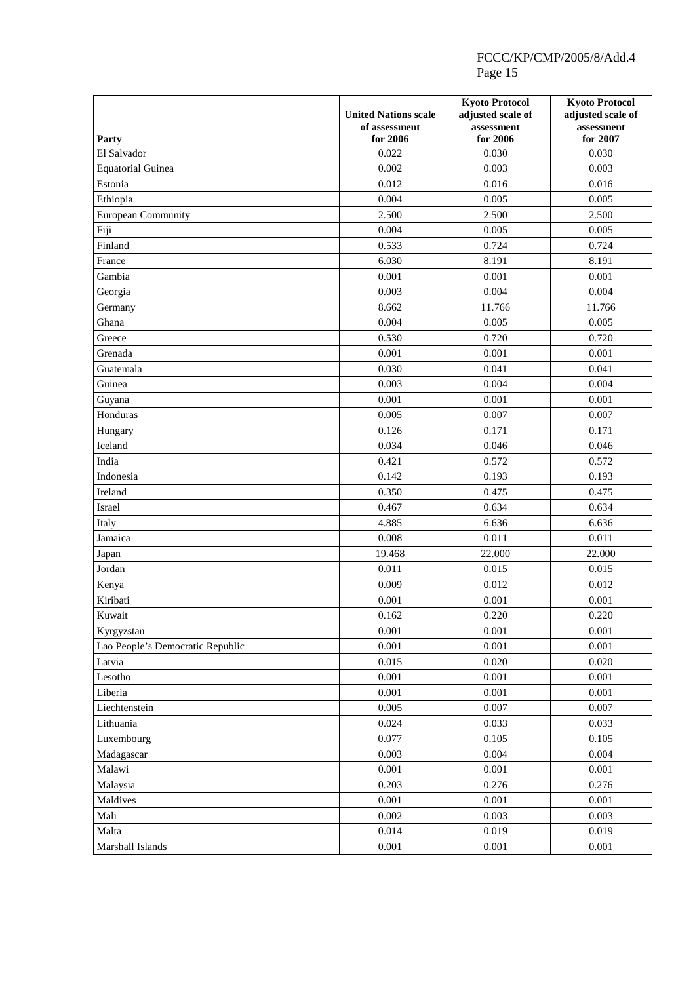| Party                            | <b>United Nations scale</b><br>of assessment<br>for 2006 | <b>Kyoto Protocol</b><br>adjusted scale of<br>assessment<br>for 2006 | <b>Kyoto Protocol</b><br>adjusted scale of<br>assessment<br>for 2007 |
|----------------------------------|----------------------------------------------------------|----------------------------------------------------------------------|----------------------------------------------------------------------|
| El Salvador                      | 0.022                                                    | 0.030                                                                | 0.030                                                                |
| <b>Equatorial Guinea</b>         | 0.002                                                    | 0.003                                                                | 0.003                                                                |
| Estonia                          | 0.012                                                    | 0.016                                                                | 0.016                                                                |
| Ethiopia                         | 0.004                                                    | 0.005                                                                | 0.005                                                                |
| <b>European Community</b>        | 2.500                                                    | 2.500                                                                | 2.500                                                                |
| Fiji                             | 0.004                                                    | 0.005                                                                | 0.005                                                                |
| Finland                          | 0.533                                                    | 0.724                                                                | 0.724                                                                |
| France                           | 6.030                                                    | 8.191                                                                | 8.191                                                                |
| Gambia                           | 0.001                                                    | 0.001                                                                | 0.001                                                                |
| Georgia                          | 0.003                                                    | 0.004                                                                | 0.004                                                                |
| Germany                          | 8.662                                                    | 11.766                                                               | 11.766                                                               |
| Ghana                            | 0.004                                                    | 0.005                                                                | 0.005                                                                |
| Greece                           | 0.530                                                    | 0.720                                                                | 0.720                                                                |
| Grenada                          | 0.001                                                    | 0.001                                                                | 0.001                                                                |
| Guatemala                        | 0.030                                                    | 0.041                                                                | 0.041                                                                |
| Guinea                           | 0.003                                                    | 0.004                                                                | 0.004                                                                |
| Guyana                           | 0.001                                                    | 0.001                                                                | 0.001                                                                |
| Honduras                         | 0.005                                                    | 0.007                                                                | 0.007                                                                |
| Hungary                          | 0.126                                                    | 0.171                                                                | 0.171                                                                |
| Iceland                          | 0.034                                                    | 0.046                                                                | 0.046                                                                |
| India                            | 0.421                                                    | 0.572                                                                | 0.572                                                                |
| Indonesia                        | 0.142                                                    | 0.193                                                                | 0.193                                                                |
| Ireland                          | 0.350                                                    | 0.475                                                                | 0.475                                                                |
| Israel                           | 0.467                                                    | 0.634                                                                | 0.634                                                                |
| Italy                            | 4.885                                                    | 6.636                                                                | 6.636                                                                |
| Jamaica                          | 0.008                                                    | 0.011                                                                | 0.011                                                                |
|                                  | 19.468                                                   | 22.000                                                               | 22.000                                                               |
| Japan<br>Jordan                  | 0.011                                                    | 0.015                                                                | 0.015                                                                |
|                                  | 0.009                                                    | 0.012                                                                | 0.012                                                                |
| Kenya<br>Kiribati                | 0.001                                                    | 0.001                                                                | 0.001                                                                |
| Kuwait                           |                                                          | 0.220                                                                | 0.220                                                                |
|                                  | 0.162                                                    |                                                                      |                                                                      |
| Kyrgyzstan                       | 0.001                                                    | 0.001                                                                | 0.001                                                                |
| Lao People's Democratic Republic | 0.001                                                    | 0.001                                                                | 0.001                                                                |
| Latvia                           | 0.015                                                    | 0.020                                                                | 0.020<br>0.001                                                       |
| Lesotho                          | 0.001                                                    | 0.001                                                                |                                                                      |
| Liberia                          | 0.001                                                    | 0.001                                                                | 0.001                                                                |
| Liechtenstein                    | 0.005                                                    | 0.007                                                                | 0.007                                                                |
| Lithuania                        | 0.024                                                    | 0.033                                                                | 0.033                                                                |
| Luxembourg                       | 0.077                                                    | 0.105                                                                | 0.105                                                                |
| Madagascar                       | 0.003                                                    | 0.004                                                                | 0.004                                                                |
| Malawi                           | 0.001                                                    | 0.001                                                                | 0.001                                                                |
| Malaysia                         | 0.203                                                    | 0.276                                                                | 0.276                                                                |
| Maldives                         | 0.001                                                    | 0.001                                                                | 0.001                                                                |
| Mali                             | 0.002                                                    | 0.003                                                                | 0.003                                                                |
| Malta                            | 0.014                                                    | 0.019                                                                | 0.019                                                                |
| Marshall Islands                 | 0.001                                                    | 0.001                                                                | 0.001                                                                |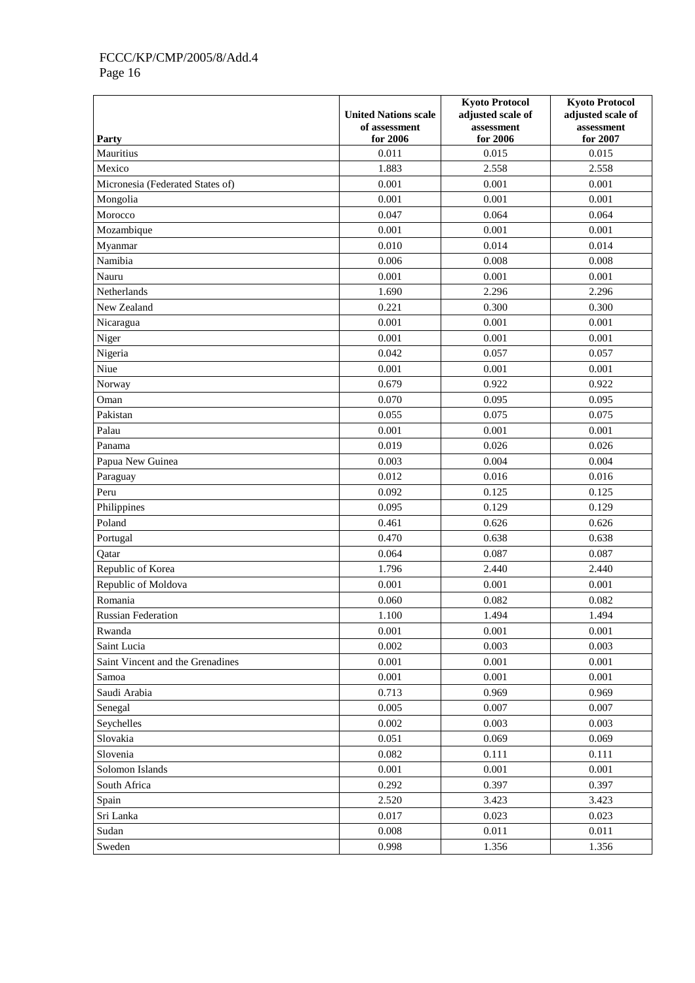|                                  |                             | <b>Kyoto Protocol</b>  | <b>Kyoto Protocol</b>  |
|----------------------------------|-----------------------------|------------------------|------------------------|
|                                  | <b>United Nations scale</b> | adjusted scale of      | adjusted scale of      |
| Party                            | of assessment<br>for 2006   | assessment<br>for 2006 | assessment<br>for 2007 |
| Mauritius                        | 0.011                       | 0.015                  | 0.015                  |
| Mexico                           | 1.883                       | 2.558                  | 2.558                  |
| Micronesia (Federated States of) | 0.001                       | 0.001                  | 0.001                  |
| Mongolia                         | 0.001                       | 0.001                  | 0.001                  |
| Morocco                          | 0.047                       | 0.064                  | 0.064                  |
| Mozambique                       | 0.001                       | 0.001                  | 0.001                  |
| Myanmar                          | 0.010                       | 0.014                  | 0.014                  |
| Namibia                          | 0.006                       | 0.008                  | 0.008                  |
| Nauru                            | 0.001                       | 0.001                  | 0.001                  |
| Netherlands                      | 1.690                       | 2.296                  | 2.296                  |
| New Zealand                      | 0.221                       | 0.300                  | 0.300                  |
| Nicaragua                        | 0.001                       | 0.001                  | 0.001                  |
| Niger                            | 0.001                       | 0.001                  | 0.001                  |
| Nigeria                          | 0.042                       | 0.057                  | 0.057                  |
| Niue                             | 0.001                       | 0.001                  | 0.001                  |
| Norway                           | 0.679                       | 0.922                  | 0.922                  |
| Oman                             | 0.070                       | 0.095                  | 0.095                  |
| Pakistan                         | 0.055                       | 0.075                  | 0.075                  |
| Palau                            | 0.001                       | 0.001                  | 0.001                  |
| Panama                           | 0.019                       | 0.026                  | 0.026                  |
| Papua New Guinea                 | 0.003                       | 0.004                  | 0.004                  |
| Paraguay                         | 0.012                       | 0.016                  | 0.016                  |
| Peru                             | 0.092                       | 0.125                  | 0.125                  |
| Philippines                      | 0.095                       | 0.129                  | 0.129                  |
| Poland                           | 0.461                       | 0.626                  | 0.626                  |
| Portugal                         | 0.470                       | 0.638                  | 0.638                  |
| Qatar                            | 0.064                       | 0.087                  | 0.087                  |
| Republic of Korea                | 1.796                       | 2.440                  | 2.440                  |
| Republic of Moldova              | 0.001                       | 0.001                  | 0.001                  |
| Romania                          | 0.060                       | 0.082                  | 0.082                  |
| Russian Federation               | 1.100                       | 1.494                  | 1.494                  |
| Rwanda                           | 0.001                       | 0.001                  | 0.001                  |
| Saint Lucia                      | 0.002                       | 0.003                  | 0.003                  |
| Saint Vincent and the Grenadines | 0.001                       | 0.001                  | 0.001                  |
| Samoa                            | 0.001                       | 0.001                  | 0.001                  |
| Saudi Arabia                     | 0.713                       | 0.969                  | 0.969                  |
| Senegal                          | 0.005                       | 0.007                  | 0.007                  |
| Seychelles                       | 0.002                       | 0.003                  | 0.003                  |
| Slovakia                         | 0.051                       | 0.069                  | 0.069                  |
| Slovenia                         | 0.082                       | 0.111                  | 0.111                  |
| Solomon Islands                  | 0.001                       | 0.001                  | 0.001                  |
| South Africa                     | 0.292                       | 0.397                  | 0.397                  |
| Spain                            | 2.520                       | 3.423                  | 3.423                  |
| Sri Lanka                        | 0.017                       | 0.023                  | 0.023                  |
| Sudan                            | 0.008                       | 0.011                  | 0.011                  |
| Sweden                           | 0.998                       | 1.356                  | 1.356                  |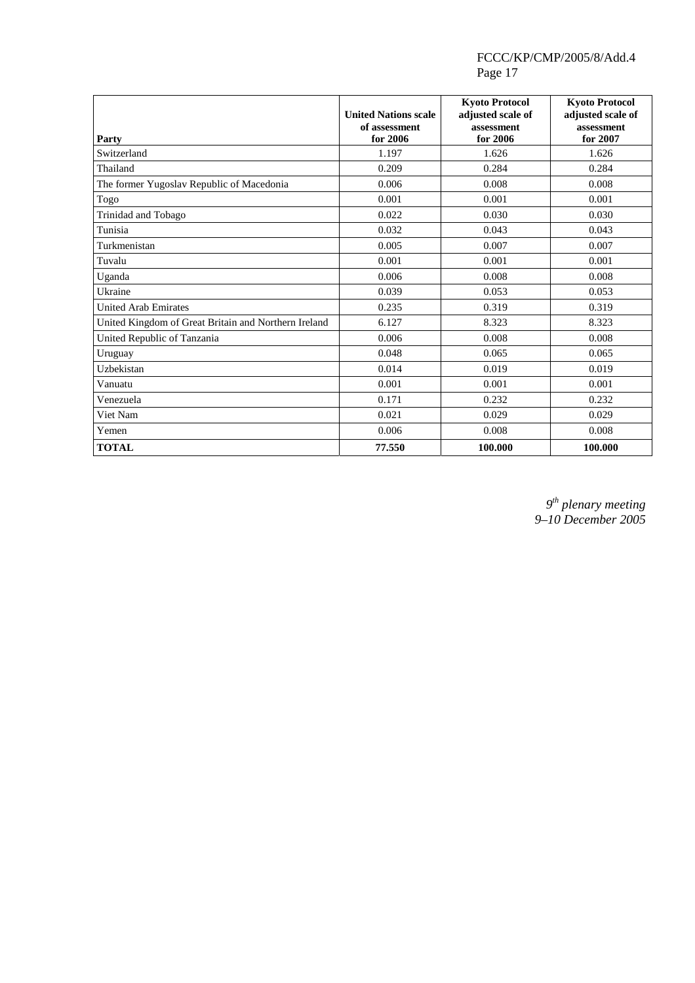| Party                                                | <b>United Nations scale</b><br>of assessment<br>for 2006 | <b>Kyoto Protocol</b><br>adjusted scale of<br>assessment<br>for 2006 | <b>Kyoto Protocol</b><br>adjusted scale of<br>assessment<br>for 2007 |
|------------------------------------------------------|----------------------------------------------------------|----------------------------------------------------------------------|----------------------------------------------------------------------|
| Switzerland                                          | 1.197                                                    | 1.626                                                                | 1.626                                                                |
| Thailand                                             | 0.209                                                    | 0.284                                                                | 0.284                                                                |
| The former Yugoslav Republic of Macedonia            | 0.006                                                    | 0.008                                                                | 0.008                                                                |
| Togo                                                 | 0.001                                                    | 0.001                                                                | 0.001                                                                |
| Trinidad and Tobago                                  | 0.022                                                    | 0.030                                                                | 0.030                                                                |
| Tunisia                                              | 0.032                                                    | 0.043                                                                | 0.043                                                                |
| Turkmenistan                                         | 0.005                                                    | 0.007                                                                | 0.007                                                                |
| Tuvalu                                               | 0.001                                                    | 0.001                                                                | 0.001                                                                |
| Uganda                                               | 0.006                                                    | 0.008                                                                | 0.008                                                                |
| Ukraine                                              | 0.039                                                    | 0.053                                                                | 0.053                                                                |
| <b>United Arab Emirates</b>                          | 0.235                                                    | 0.319                                                                | 0.319                                                                |
| United Kingdom of Great Britain and Northern Ireland | 6.127                                                    | 8.323                                                                | 8.323                                                                |
| United Republic of Tanzania                          | 0.006                                                    | 0.008                                                                | 0.008                                                                |
| Uruguay                                              | 0.048                                                    | 0.065                                                                | 0.065                                                                |
| Uzbekistan                                           | 0.014                                                    | 0.019                                                                | 0.019                                                                |
| Vanuatu                                              | 0.001                                                    | 0.001                                                                | 0.001                                                                |
| Venezuela                                            | 0.171                                                    | 0.232                                                                | 0.232                                                                |
| Viet Nam                                             | 0.021                                                    | 0.029                                                                | 0.029                                                                |
| Yemen                                                | 0.006                                                    | 0.008                                                                | 0.008                                                                |
| <b>TOTAL</b>                                         | 77.550                                                   | 100.000                                                              | 100.000                                                              |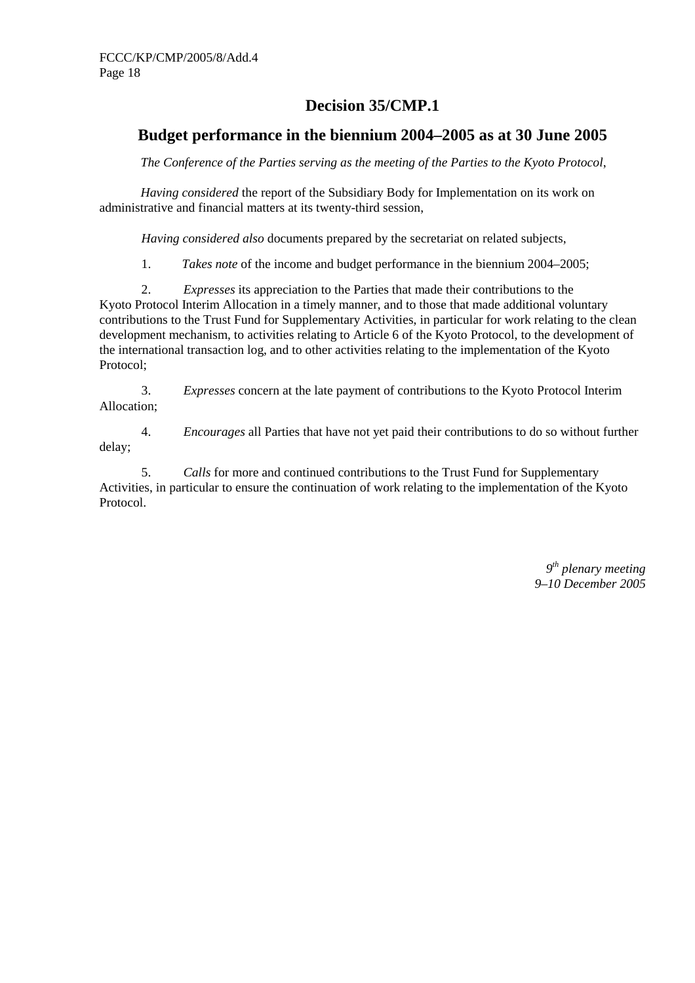# **Decision 35/CMP.1**

# **Budget performance in the biennium 2004–2005 as at 30 June 2005**

*The Conference of the Parties serving as the meeting of the Parties to the Kyoto Protocol*,

*Having considered* the report of the Subsidiary Body for Implementation on its work on administrative and financial matters at its twenty-third session,

 *Having considered also* documents prepared by the secretariat on related subjects,

1. *Takes note* of the income and budget performance in the biennium 2004–2005;

2. *Expresses* its appreciation to the Parties that made their contributions to the Kyoto Protocol Interim Allocation in a timely manner, and to those that made additional voluntary contributions to the Trust Fund for Supplementary Activities, in particular for work relating to the clean development mechanism, to activities relating to Article 6 of the Kyoto Protocol, to the development of the international transaction log, and to other activities relating to the implementation of the Kyoto Protocol;

3. *Expresses* concern at the late payment of contributions to the Kyoto Protocol Interim Allocation;

4. *Encourages* all Parties that have not yet paid their contributions to do so without further delay;

5. *Calls* for more and continued contributions to the Trust Fund for Supplementary Activities, in particular to ensure the continuation of work relating to the implementation of the Kyoto Protocol.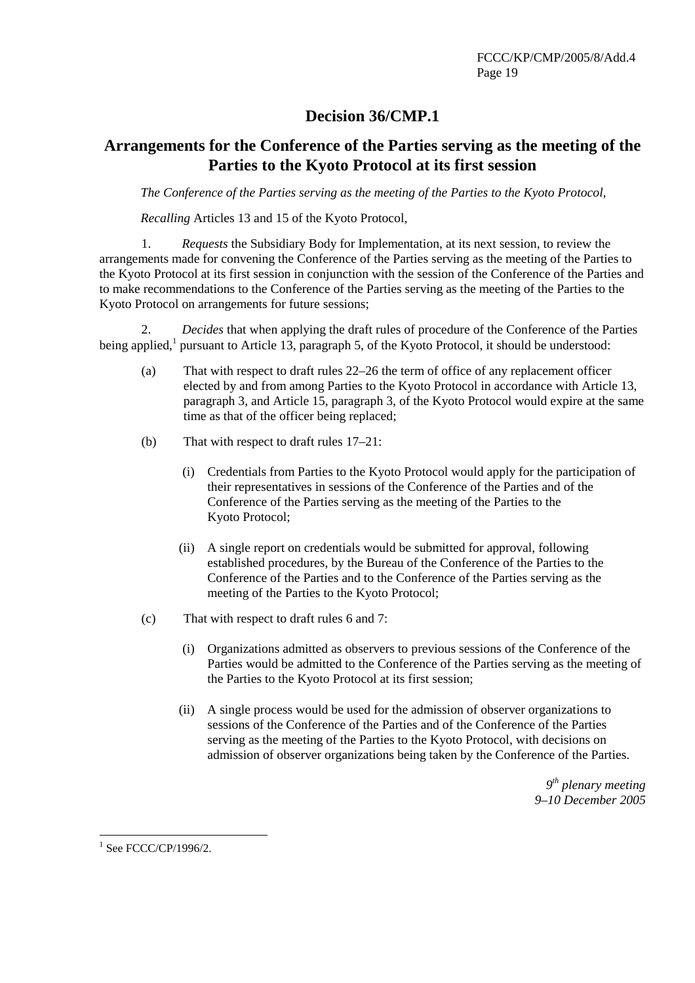# **Decision 36/CMP.1**

## **Arrangements for the Conference of the Parties serving as the meeting of the Parties to the Kyoto Protocol at its first session**

*The Conference of the Parties serving as the meeting of the Parties to the Kyoto Protocol,* 

*Recalling* Articles 13 and 15 of the Kyoto Protocol,

1. *Requests* the Subsidiary Body for Implementation, at its next session, to review the arrangements made for convening the Conference of the Parties serving as the meeting of the Parties to the Kyoto Protocol at its first session in conjunction with the session of the Conference of the Parties and to make recommendations to the Conference of the Parties serving as the meeting of the Parties to the Kyoto Protocol on arrangements for future sessions;

2. *Decides* that when applying the draft rules of procedure of the Conference of the Parties being applied,<sup>1</sup> pursuant to Article 13, paragraph 5, of the Kyoto Protocol, it should be understood:

- (a) That with respect to draft rules 22–26 the term of office of any replacement officer elected by and from among Parties to the Kyoto Protocol in accordance with Article 13, paragraph 3, and Article 15, paragraph 3, of the Kyoto Protocol would expire at the same time as that of the officer being replaced;
- (b) That with respect to draft rules 17–21:
	- (i) Credentials from Parties to the Kyoto Protocol would apply for the participation of their representatives in sessions of the Conference of the Parties and of the Conference of the Parties serving as the meeting of the Parties to the Kyoto Protocol;
	- (ii) A single report on credentials would be submitted for approval, following established procedures, by the Bureau of the Conference of the Parties to the Conference of the Parties and to the Conference of the Parties serving as the meeting of the Parties to the Kyoto Protocol;
- (c) That with respect to draft rules 6 and 7:
	- (i) Organizations admitted as observers to previous sessions of the Conference of the Parties would be admitted to the Conference of the Parties serving as the meeting of the Parties to the Kyoto Protocol at its first session;
	- (ii) A single process would be used for the admission of observer organizations to sessions of the Conference of the Parties and of the Conference of the Parties serving as the meeting of the Parties to the Kyoto Protocol, with decisions on admission of observer organizations being taken by the Conference of the Parties.

 $\overline{a}$  $1$  See FCCC/CP/1996/2.